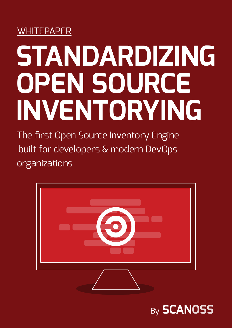# **WHITEPAPER**

# **STANDARDIZING OPEN SOURCE INVENTORYING**

The first Open Source Inventory Engine built for developers & modern DevOps organizations



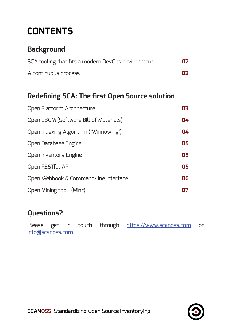# **CONTENTS**

## **Background**

| SCA tooling that fits a modern DevOps environment | 02 |
|---------------------------------------------------|----|
| A continuous process                              | 02 |

## **Redefining SCA: The first Open Source solution**

| Open Platform Architecture             | 03 |
|----------------------------------------|----|
| Open SBOM (Software Bill of Materials) | 04 |
| Open Indexing Algorithm ('Winnowing')  | 04 |
| Open Database Engine                   | 05 |
| Open Inventory Engine                  | 05 |
| Open RESTful API                       | 05 |
| Open Webhook & Command-line Interface  | 06 |
| Open Mining tool (Minr)                |    |

## **Questions?**

Please get in touch through [https://www.scanoss.com](https://scanoss.co.uk) or [info@scanoss.com](https://info@scanoss.co.uk)

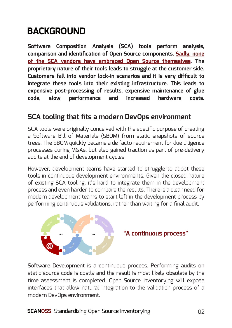# **BACKGROUND**

**Software Composition Analysis (SCA) tools perform analysis, comparison and identification of Open Source components. Sadly, none of the SCA vendors have embraced Open Source themselves. The proprietary nature of their tools leads to struggle at the customer side. Customers fall into vendor lock-in scenarios and it is very difficult to integrate these tools into their existing infrastructure. This leads to expensive post-processing of results, expensive maintenance of glue code, slow performance and increased hardware costs.**

#### **SCA tooling that fits a modern DevOps environment**

SCA tools were originally conceived with the specific purpose of creating a Software Bill of Materials (SBOM) from static snapshots of source trees. The SBOM quickly became a de facto requirement for due diligence processes during M&As, but also gained traction as part of pre-delivery audits at the end of development cycles.

However, development teams have started to struggle to adopt these tools in continuous development environments. Given the closed nature of existing SCA tooling, it's hard to integrate them in the development process and even harder to compare the results. There is a clear need for modern development teams to start left in the development process by performing continuous validations, rather than waiting for a final audit.



#### **"A continuous process"**

Software Development is a continuous process. Performing audits on static source code is costly and the result is most likely obsolete by the time assessment is completed. Open Source Inventorying will expose interfaces that allow natural integration to the validation process of a modern DevOps environment.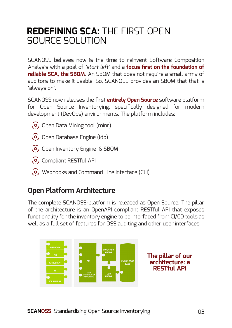# **REDEFINING SCA:** THE FIRST OPEN SOURCE SOLUTION

SCANOSS believes now is the time to reinvent Software Composition Analysis with a goal of *'start left'* and a **focus first on the foundation of reliable SCA, the SBOM**. An SBOM that does not require a small army of auditors to make it usable. So, SCANOSS provides an SBOM that that is 'always on'.

SCANOSS now releases the first **entirely Open Source** software platform for Open Source Inventorying, specifically designed for modern development (DevOps) environments. The platform includes:

- O; Open Data Mining tool (minr)
- O<sub>j</sub> Open Database Engine (ldb)
- O<sub>j</sub> Open Inventory Engine & SBOM
- O; Compliant RESTful API
- Webhooks and Command Line Interface (CLI)

## **Open Platform Architecture**

The complete SCANOSS-platform is released as Open Source. The pillar of the architecture is an OpenAPI compliant RESTful API that exposes functionality for the inventory engine to be interfaced from CI/CD tools as well as a full set of features for OSS auditing and other user interfaces.

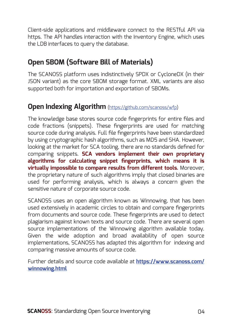Client-side applications and middleware connect to the RESTful API via https. The API handles interaction with the Inventory Engine, which uses the LDB interfaces to query the database.

## **Open SBOM (Software Bill of Materials)**

The SCANOSS platform uses indistinctively SPDX or CycloneDX (in their JSON variant) as the core SBOM storage format. XML variants are also supported both for importation and exportation of SBOMs.

#### **Open Indexing Algorithm** [\(https://github.com/scanoss/wfp\)](https://github.com/scanoss/wfp)

The knowledge base stores source code fingerprints for entire files and code fractions (snippets). These fingerprints are used for matching source code during analysis. Full file fingerprints have been standardized by using cryptographic hash algorithms, such as MD5 and SHA. However, looking at the market for SCA tooling, there are no standards defined for comparing snippets. **SCA vendors implement their own proprietary algorithms for calculating snippet fingerprints, which means it is virtually impossible to compare results from different tools.** Moreover, the proprietary nature of such algorithms imply that closed binaries are used for performing analysis, which is always a concern given the sensitive nature of corporate source code.

SCANOSS uses an open algorithm known as Winnowing, that has been used extensively in academic circles to obtain and compare fingerprints from documents and source code. These fingerprints are used to detect plagiarism against known texts and source code. There are several open source implementations of the Winnowing algorithm available today. Given the wide adoption and broad availability of open source implementations, SCANOSS has adapted this algorithm for indexing and comparing massive amounts of source code.

Further details and source code available at **[https://www.scanoss.com/](https://www.scanoss.co.uk/winnowing.html ) [winnowing.html](https://www.scanoss.co.uk/winnowing.html )**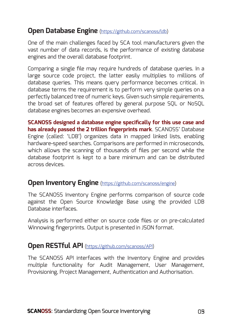#### **Open Database Engine** [\(https://github.com/scanoss/ldb](https://github.com/scanoss/ldb))

One of the main challenges faced by SCA tool manufacturers given the vast number of data records, is the performance of existing database engines and the overall database footprint.

Comparing a single file may require hundreds of database queries. In a large source code project, the latter easily multiplies to millions of database queries. This means query performance becomes critical. In database terms the requirement is to perform very simple queries on a perfectly balanced tree of numeric keys. Given such simple requirements, the broad set of features offered by general purpose SQL or NoSQL database engines becomes an expensive overhead.

**SCANOSS designed a database engine specifically for this use case and has already passed the 2 trillion fingerprints mark**. SCANOSS' Database Engine (called: 'LDB') organizes data in mapped linked lists, enabling hardware-speed searches. Comparisons are performed in microseconds, which allows the scanning of thousands of files per second while the database footprint is kept to a bare minimum and can be distributed across devices.

#### **Open Inventory Engine** [\(https://github.com/scanoss/engine\)](https://github.com/scanoss/engine)

The SCANOSS Inventory Engine performs comparison of source code against the Open Source Knowledge Base using the provided LDB Database interfaces.

Analysis is performed either on source code files or on pre-calculated Winnowing fingerprints. Output is presented in JSON format.

#### **Open RESTful API** ([https://github.com/scanoss/API\)](https://github.com/scanoss/API)

The SCANOSS API interfaces with the Inventory Engine and provides multiple functionality for Audit Management, User Management, Provisioning, Project Management, Authentication and Authorisation.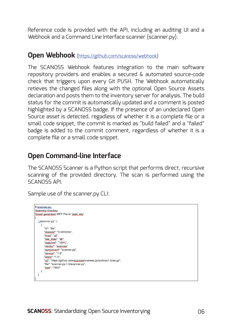Reference code is provided with the API, including an auditing UI and a Webhook and a Command Line Interface scanner (scanner.py).

#### **Open Webhook** ([https://github.com/scanoss/webhook\)](https://github.com/scanoss/webhook)

The SCANOSS Webhook features integration to the main software repository providers and enables a secured & automated source-code check that triggers upon every Git PUSH. The Webhook automatically retieves the changed files along with the optional Open Source Assets declaration and posts them to the inventory server for analysis. The build status for the commit is automatically updated and a comment is posted highlighted by a SCANOSS badge. If the presence of an undeclared Open Source asset is detected, regadless of whether it is a complete file or a small code snippet, the commit is marked as "build failed" and a "failed" badge is added to the commit comment, regardless of whether it is a complete file or a small code snippet.

#### **Open Command-line Interface**

The SCANOSS Scanner is a Python script that performs direct, recursive scanning of the provided directory. The scan is performed using the SCANOSS API.

Sample use of the scanner.py CLI:

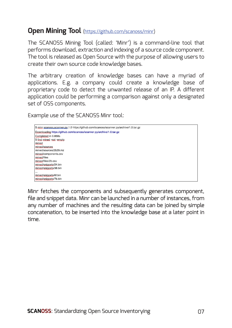#### **Open Mining Tool** [\(https://github.com/scanoss/minr\)](https://github.com/scanoss/minr)

The SCANOSS Mining Tool (called: 'Minr') is a command-line tool that performs download, extraction and indexing of a source code component. The tool is released as Open Source with the purpose of allowing users to create their own source code knowledge bases.

The arbitrary creation of knowledge bases can have a myriad of applications. E.g. a company could create a knowledge base of proprietary code to detect the unwanted release of an IP. A different application could be performing a comparison against only a designated set of OSS components.

Example use of the SCANOSS Minr tool:



Minr fetches the components and subsequently generates component, file and snippet data. Minr can be launched in a number of instances, from any number of machines and the resulting data can be joined by simple concatenation, to be inserted into the knowledge base at a later point in time.